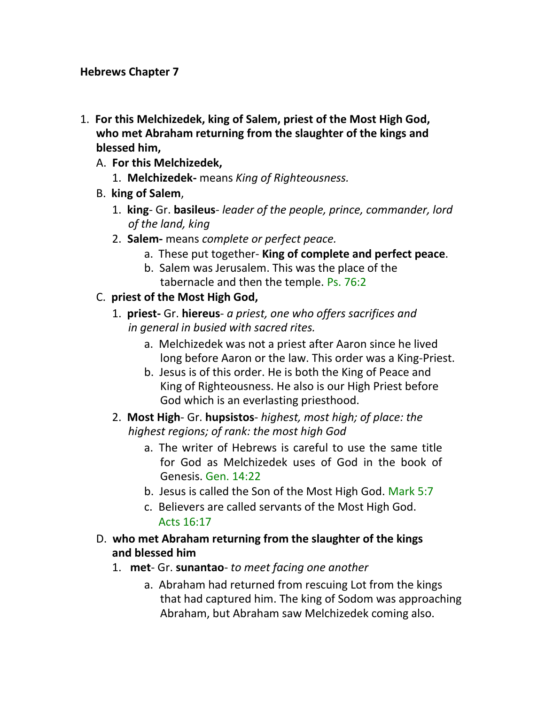#### **Hebrews Chapter 7**

- 1. **For this Melchizedek, king of Salem, priest of the Most High God, who met Abraham returning from the slaughter of the kings and blessed him,**
	- A. **For this Melchizedek,**
		- 1. **Melchizedek-** means *King of Righteousness.*
	- B. **king of Salem**,
		- 1. **king** Gr. **basileus** *leader of the people, prince, commander, lord of the land, king*
		- 2. **Salem-** means *complete or perfect peace.*
			- a. These put together- **King of complete and perfect peace**.
			- b. Salem was Jerusalem. This was the place of the tabernacle and then the temple. Ps. 76:2
	- C. **priest of the Most High God,**
		- 1. **priest-** Gr. **hiereus** *a priest, one who offers sacrifices and in general in busied with sacred rites.*
			- a. Melchizedek was not a priest after Aaron since he lived long before Aaron or the law. This order was a King-Priest.
			- b. Jesus is of this order. He is both the King of Peace and King of Righteousness. He also is our High Priest before God which is an everlasting priesthood.
		- 2. **Most High** Gr. **hupsistos** *highest, most high; of place: the highest regions; of rank: the most high God*
			- a. The writer of Hebrews is careful to use the same title for God as Melchizedek uses of God in the book of Genesis. Gen. 14:22
			- b. Jesus is called the Son of the Most High God. Mark 5:7
			- c. Believers are called servants of the Most High God. Acts 16:17
	- D. **who met Abraham returning from the slaughter of the kings and blessed him**
		- 1. **met** Gr. **sunantao** *to meet facing one another*
			- a. Abraham had returned from rescuing Lot from the kings that had captured him. The king of Sodom was approaching Abraham, but Abraham saw Melchizedek coming also.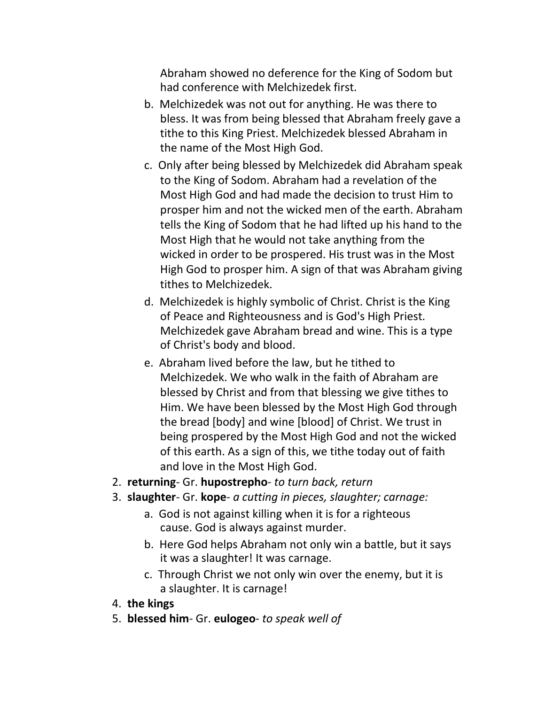Abraham showed no deference for the King of Sodom but had conference with Melchizedek first.

- b. Melchizedek was not out for anything. He was there to bless. It was from being blessed that Abraham freely gave a tithe to this King Priest. Melchizedek blessed Abraham in the name of the Most High God.
- c. Only after being blessed by Melchizedek did Abraham speak to the King of Sodom. Abraham had a revelation of the Most High God and had made the decision to trust Him to prosper him and not the wicked men of the earth. Abraham tells the King of Sodom that he had lifted up his hand to the Most High that he would not take anything from the wicked in order to be prospered. His trust was in the Most High God to prosper him. A sign of that was Abraham giving tithes to Melchizedek.
- d. Melchizedek is highly symbolic of Christ. Christ is the King of Peace and Righteousness and is God's High Priest. Melchizedek gave Abraham bread and wine. This is a type of Christ's body and blood.
- e. Abraham lived before the law, but he tithed to Melchizedek. We who walk in the faith of Abraham are blessed by Christ and from that blessing we give tithes to Him. We have been blessed by the Most High God through the bread [body] and wine [blood] of Christ. We trust in being prospered by the Most High God and not the wicked of this earth. As a sign of this, we tithe today out of faith and love in the Most High God.
- 2. **returning** Gr. **hupostrepho** *to turn back, return*
- 3. **slaughter** Gr. **kope** *a cutting in pieces, slaughter; carnage:*
	- a. God is not against killing when it is for a righteous cause. God is always against murder.
	- b. Here God helps Abraham not only win a battle, but it says it was a slaughter! It was carnage.
	- c. Through Christ we not only win over the enemy, but it is a slaughter. It is carnage!
- 4. **the kings**
- 5. **blessed him** Gr. **eulogeo** *to speak well of*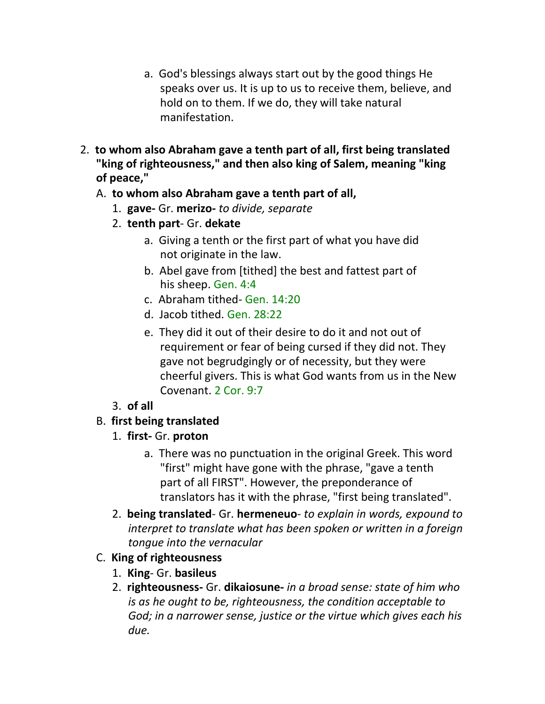- a. God's blessings always start out by the good things He speaks over us. It is up to us to receive them, believe, and hold on to them. If we do, they will take natural manifestation.
- 2. **to whom also Abraham gave a tenth part of all, first being translated "king of righteousness," and then also king of Salem, meaning "king of peace,"**

### A. **to whom also Abraham gave a tenth part of all,**

- 1. **gave-** Gr. **merizo-** *to divide, separate*
- 2. **tenth part** Gr. **dekate**
	- a. Giving a tenth or the first part of what you have did not originate in the law.
	- b. Abel gave from [tithed] the best and fattest part of his sheep. Gen. 4:4
	- c. Abraham tithed- Gen. 14:20
	- d. Jacob tithed. Gen. 28:22
	- e. They did it out of their desire to do it and not out of requirement or fear of being cursed if they did not. They gave not begrudgingly or of necessity, but they were cheerful givers. This is what God wants from us in the New Covenant. 2 Cor. 9:7

### 3. **of all**

- B. **first being translated**
	- 1. **first-** Gr. **proton**
		- a. There was no punctuation in the original Greek. This word "first" might have gone with the phrase, "gave a tenth part of all FIRST". However, the preponderance of translators has it with the phrase, "first being translated".
	- 2. **being translated** Gr. **hermeneuo** *to explain in words, expound to interpret to translate what has been spoken or written in a foreign tongue into the vernacular*

# C. **King of righteousness**

- 1. **King** Gr. **basileus**
- 2. **righteousness-** Gr. **dikaiosune-** *in a broad sense: state of him who is as he ought to be, righteousness, the condition acceptable to God; in a narrower sense, justice or the virtue which gives each his due.*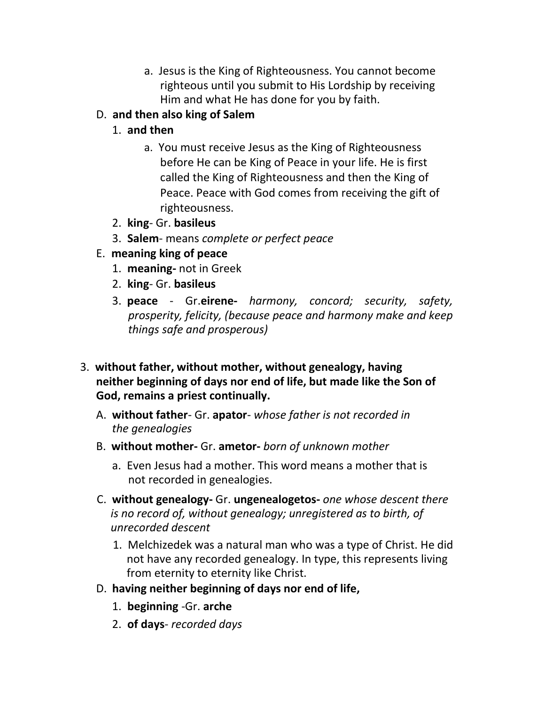a. Jesus is the King of Righteousness. You cannot become righteous until you submit to His Lordship by receiving Him and what He has done for you by faith.

# D. **and then also king of Salem**

# 1. **and then**

- a. You must receive Jesus as the King of Righteousness before He can be King of Peace in your life. He is first called the King of Righteousness and then the King of Peace. Peace with God comes from receiving the gift of righteousness.
- 2. **king** Gr. **basileus**
- 3. **Salem** means *complete or perfect peace*
- E. **meaning king of peace**
	- 1. **meaning-** not in Greek
	- 2. **king** Gr. **basileus**
	- 3. **peace** Gr.**eirene-** *harmony, concord; security, safety, prosperity, felicity, (because peace and harmony make and keep things safe and prosperous)*
- 3. **without father, without mother, without genealogy, having neither beginning of days nor end of life, but made like the Son of God, remains a priest continually.**
	- A. **without father** Gr. **apator** *whose father is not recorded in the genealogies*
	- B. **without mother-** Gr. **ametor-** *born of unknown mother*
		- a. Even Jesus had a mother. This word means a mother that is not recorded in genealogies.
	- C. **without genealogy-** Gr. **ungenealogetos-** *one whose descent there is no record of, without genealogy; unregistered as to birth, of unrecorded descent*
		- 1. Melchizedek was a natural man who was a type of Christ. He did not have any recorded genealogy. In type, this represents living from eternity to eternity like Christ.
	- D. **having neither beginning of days nor end of life,**
		- 1. **beginning** -Gr. **arche**
		- 2. **of days** *recorded days*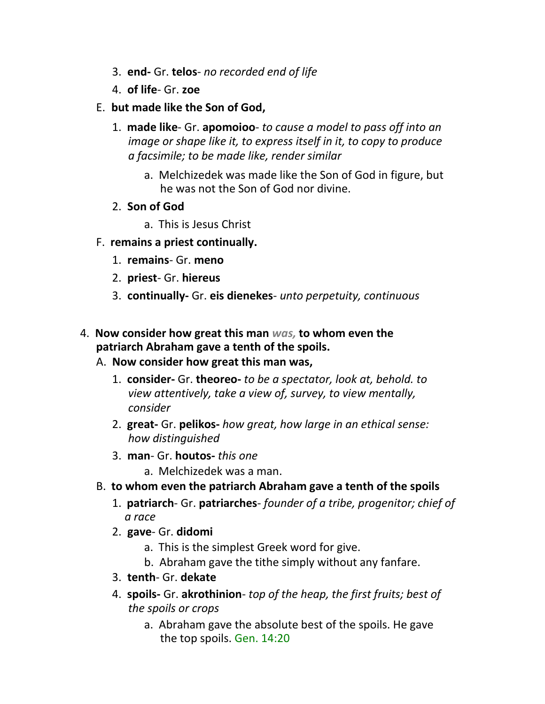- 3. **end-** Gr. **telos** *no recorded end of life*
- 4. **of life** Gr. **zoe**
- E. **but made like the Son of God,**
	- 1. **made like** Gr. **apomoioo** *to cause a model to pass off into an image or shape like it, to express itself in it, to copy to produce a facsimile; to be made like, render similar*
		- a. Melchizedek was made like the Son of God in figure, but he was not the Son of God nor divine.
	- 2. **Son of God**
		- a. This is Jesus Christ
- F. **remains a priest continually.**
	- 1. **remains** Gr. **meno**
	- 2. **priest** Gr. **hiereus**
	- 3. **continually-** Gr. **eis dienekes** *unto perpetuity, continuous*
- 4. **Now consider how great this man** *was,* **to whom even the patriarch Abraham gave a tenth of the spoils.**
	- A. **Now consider how great this man was,**
		- 1. **consider-** Gr. **theoreo-** *to be a spectator, look at, behold. to view attentively, take a view of, survey, to view mentally, consider*
		- 2. **great-** Gr. **pelikos-** *how great, how large in an ethical sense: how distinguished*
		- 3. **man** Gr. **houtos-** *this one*
			- a. Melchizedek was a man.
	- B. **to whom even the patriarch Abraham gave a tenth of the spoils**
		- 1. **patriarch** Gr. **patriarches** *founder of a tribe, progenitor; chief of a race*
		- 2. **gave** Gr. **didomi**
			- a. This is the simplest Greek word for give.
			- b. Abraham gave the tithe simply without any fanfare.
		- 3. **tenth** Gr. **dekate**
		- 4. **spoils-** Gr. **akrothinion** *top of the heap, the first fruits; best of the spoils or crops*
			- a. Abraham gave the absolute best of the spoils. He gave the top spoils. Gen. 14:20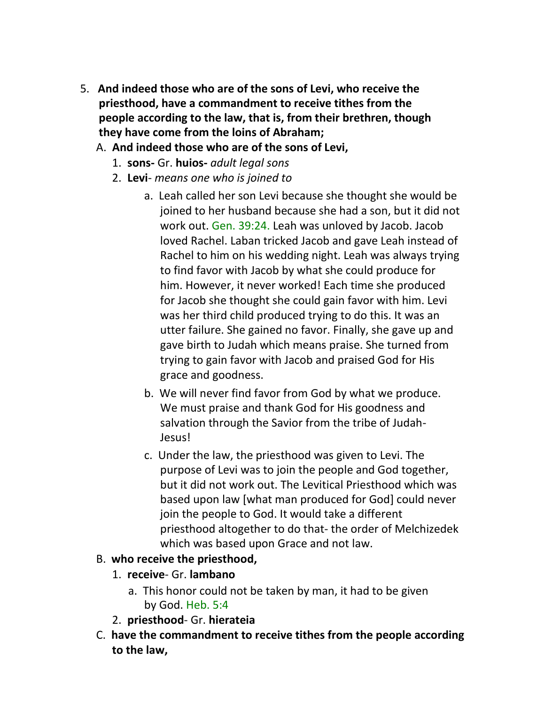- 5. **And indeed those who are of the sons of Levi, who receive the priesthood, have a commandment to receive tithes from the people according to the law, that is, from their brethren, though they have come from the loins of Abraham;**
	- A. **And indeed those who are of the sons of Levi,**
		- 1. **sons-** Gr. **huios-** *adult legal sons*
		- 2. **Levi** *means one who is joined to*
			- a. Leah called her son Levi because she thought she would be joined to her husband because she had a son, but it did not work out. Gen. 39:24. Leah was unloved by Jacob. Jacob loved Rachel. Laban tricked Jacob and gave Leah instead of Rachel to him on his wedding night. Leah was always trying to find favor with Jacob by what she could produce for him. However, it never worked! Each time she produced for Jacob she thought she could gain favor with him. Levi was her third child produced trying to do this. It was an utter failure. She gained no favor. Finally, she gave up and gave birth to Judah which means praise. She turned from trying to gain favor with Jacob and praised God for His grace and goodness.
			- b. We will never find favor from God by what we produce. We must praise and thank God for His goodness and salvation through the Savior from the tribe of Judah-Jesus!
			- c. Under the law, the priesthood was given to Levi. The purpose of Levi was to join the people and God together, but it did not work out. The Levitical Priesthood which was based upon law [what man produced for God] could never join the people to God. It would take a different priesthood altogether to do that- the order of Melchizedek which was based upon Grace and not law.

# B. **who receive the priesthood,**

- 1. **receive** Gr. **lambano**
	- a. This honor could not be taken by man, it had to be given by God. Heb. 5:4
- 2. **priesthood** Gr. **hierateia**
- C. **have the commandment to receive tithes from the people according to the law,**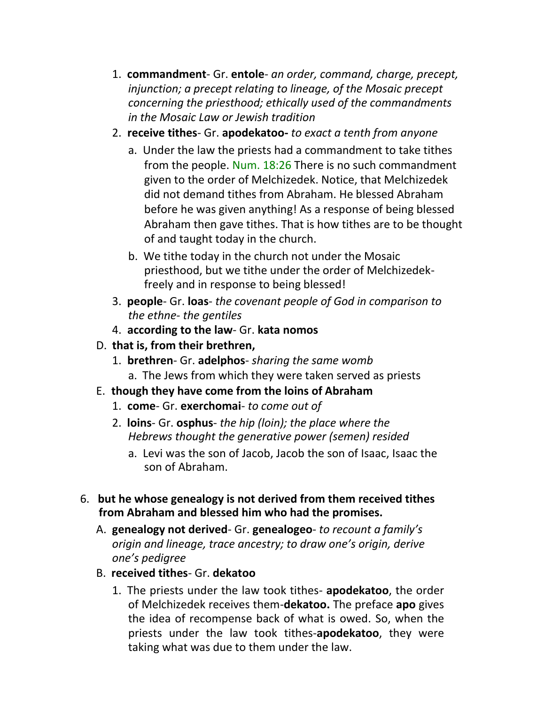- 1. **commandment** Gr. **entole** *an order, command, charge, precept, injunction; a precept relating to lineage, of the Mosaic precept concerning the priesthood; ethically used of the commandments in the Mosaic Law or Jewish tradition*
- 2. **receive tithes** Gr. **apodekatoo-** *to exact a tenth from anyone*
	- a. Under the law the priests had a commandment to take tithes from the people. Num. 18:26 There is no such commandment given to the order of Melchizedek. Notice, that Melchizedek did not demand tithes from Abraham. He blessed Abraham before he was given anything! As a response of being blessed Abraham then gave tithes. That is how tithes are to be thought of and taught today in the church.
	- b. We tithe today in the church not under the Mosaic priesthood, but we tithe under the order of Melchizedekfreely and in response to being blessed!
- 3. **people** Gr. **loas** *the covenant people of God in comparison to the ethne- the gentiles*
- 4. **according to the law** Gr. **kata nomos**
- D. **that is, from their brethren,**
	- 1. **brethren** Gr. **adelphos** *sharing the same womb* a. The Jews from which they were taken served as priests
- E. **though they have come from the loins of Abraham**
	- 1. **come** Gr. **exerchomai** *to come out of*
	- 2. **loins** Gr. **osphus** *the hip (loin); the place where the Hebrews thought the generative power (semen) resided*
		- a. Levi was the son of Jacob, Jacob the son of Isaac, Isaac the son of Abraham.
- 6. **but he whose genealogy is not derived from them received tithes from Abraham and blessed him who had the promises.**
	- A. **genealogy not derived** Gr. **genealogeo** *to recount a family's origin and lineage, trace ancestry; to draw one's origin, derive one's pedigree*
	- B. **received tithes** Gr. **dekatoo**
		- 1. The priests under the law took tithes- **apodekatoo**, the order of Melchizedek receives them-**dekatoo.** The preface **apo** gives the idea of recompense back of what is owed. So, when the priests under the law took tithes-**apodekatoo**, they were taking what was due to them under the law.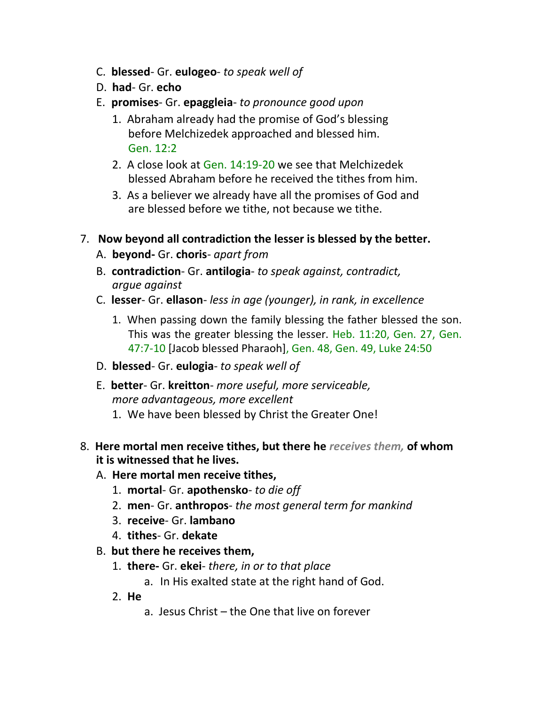- C. **blessed** Gr. **eulogeo** *to speak well of*
- D. **had** Gr. **echo**
- E. **promises** Gr. **epaggleia** *to pronounce good upon*
	- 1. Abraham already had the promise of God's blessing before Melchizedek approached and blessed him. Gen. 12:2
	- 2. A close look at Gen. 14:19-20 we see that Melchizedek blessed Abraham before he received the tithes from him.
	- 3. As a believer we already have all the promises of God and are blessed before we tithe, not because we tithe.
- 7. **Now beyond all contradiction the lesser is blessed by the better.**
	- A. **beyond-** Gr. **choris** *apart from*
	- B. **contradiction** Gr. **antilogia** *to speak against, contradict, argue against*
	- C. **lesser** Gr. **ellason** *less in age (younger), in rank, in excellence*
		- 1. When passing down the family blessing the father blessed the son. This was the greater blessing the lesser. Heb. 11:20, Gen. 27, Gen. 47:7-10 [Jacob blessed Pharaoh], Gen. 48, Gen. 49, Luke 24:50
	- D. **blessed** Gr. **eulogia** *to speak well of*
	- E. **better** Gr. **kreitton** *more useful, more serviceable, more advantageous, more excellent*
		- 1. We have been blessed by Christ the Greater One!
- 8. **Here mortal men receive tithes, but there he** *receives them,* **of whom it is witnessed that he lives.**
	- A. **Here mortal men receive tithes,**
		- 1. **mortal** Gr. **apothensko** *to die off*
		- 2. **men** Gr. **anthropos** *the most general term for mankind*
		- 3. **receive** Gr. **lambano**
		- 4. **tithes** Gr. **dekate**
	- B. **but there he receives them,**
		- 1. **there-** Gr. **ekei** *there, in or to that place*
			- a. In His exalted state at the right hand of God.
		- 2. **He**
			- a. Jesus Christ the One that live on forever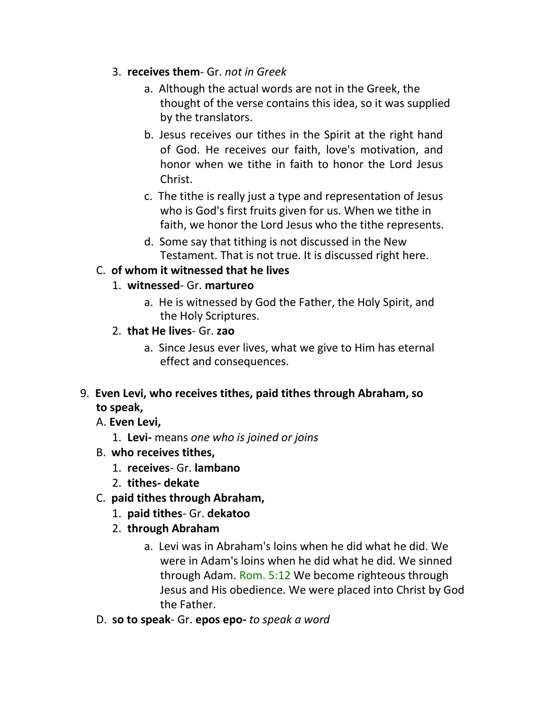- 3. **receives them** Gr. *not in Greek*
	- a. Although the actual words are not in the Greek, the thought of the verse contains this idea, so it was supplied by the translators.
	- b. Jesus receives our tithes in the Spirit at the right hand of God. He receives our faith, love's motivation, and honor when we tithe in faith to honor the Lord Jesus Christ.
	- c. The tithe is really just a type and representation of Jesus who is God's first fruits given for us. When we tithe in faith, we honor the Lord Jesus who the tithe represents.
	- d. Some say that tithing is not discussed in the New Testament. That is not true. It is discussed right here.

## C. **of whom it witnessed that he lives**

## 1. **witnessed**- Gr. **martureo**

- a. He is witnessed by God the Father, the Holy Spirit, and the Holy Scriptures.
- 2. **that He lives** Gr. **zao**
	- a. Since Jesus ever lives, what we give to Him has eternal effect and consequences.

## 9. **Even Levi, who receives tithes, paid tithes through Abraham, so to speak,**

- A. **Even Levi,**
	- 1. **Levi-** means *one who is joined or joins*
- B. **who receives tithes,**
	- 1. **receives** Gr. **lambano**
	- 2. **tithes- dekate**
- C. **paid tithes through Abraham,**
	- 1. **paid tithes** Gr. **dekatoo**
	- 2. **through Abraham**
		- a. Levi was in Abraham's loins when he did what he did. We were in Adam's loins when he did what he did. We sinned through Adam. Rom. 5:12 We become righteous through Jesus and His obedience. We were placed into Christ by God the Father.
- D. **so to speak** Gr. **epos epo-** *to speak a word*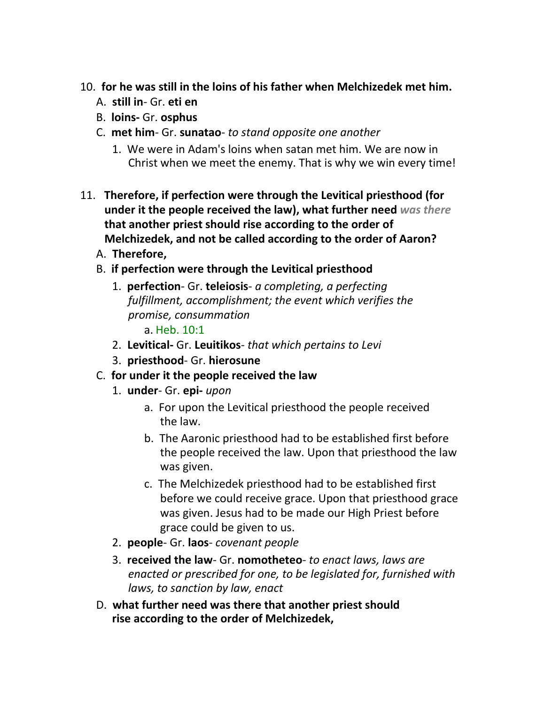## 10. **for he was still in the loins of his father when Melchizedek met him.**

- A. **still in** Gr. **eti en**
- B. **loins-** Gr. **osphus**
- C. **met him** Gr. **sunatao** *to stand opposite one another*
	- 1. We were in Adam's loins when satan met him. We are now in Christ when we meet the enemy. That is why we win every time!
- 11. **Therefore, if perfection were through the Levitical priesthood (for under it the people received the law), what further need** *was there*  **that another priest should rise according to the order of Melchizedek, and not be called according to the order of Aaron?**
	- A. **Therefore,**

## B. **if perfection were through the Levitical priesthood**

1. **perfection**- Gr. **teleiosis**- *a completing, a perfecting fulfillment, accomplishment; the event which verifies the promise, consummation*

a. Heb. 10:1

- 2. **Levitical-** Gr. **Leuitikos** *that which pertains to Levi*
- 3. **priesthood** Gr. **hierosune**
- C. **for under it the people received the law**
	- 1. **under** Gr. **epi-** *upon*
		- a. For upon the Levitical priesthood the people received the law.
		- b. The Aaronic priesthood had to be established first before the people received the law. Upon that priesthood the law was given.
		- c. The Melchizedek priesthood had to be established first before we could receive grace. Upon that priesthood grace was given. Jesus had to be made our High Priest before grace could be given to us.
	- 2. **people** Gr. **laos** *covenant people*
	- 3. **received the law** Gr. **nomotheteo** *to enact laws, laws are enacted or prescribed for one, to be legislated for, furnished with laws, to sanction by law, enact*
- D. **what further need was there that another priest should rise according to the order of Melchizedek,**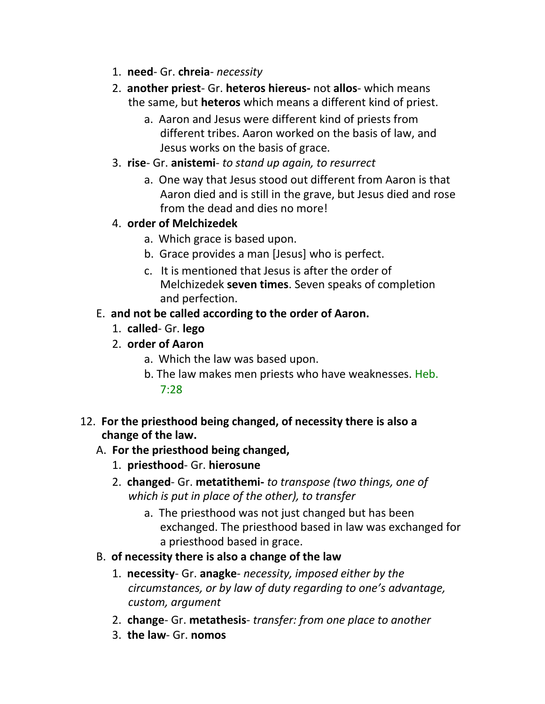- 1. **need** Gr. **chreia** *necessity*
- 2. **another priest** Gr. **heteros hiereus-** not **allos** which means the same, but **heteros** which means a different kind of priest.
	- a. Aaron and Jesus were different kind of priests from different tribes. Aaron worked on the basis of law, and Jesus works on the basis of grace.
- 3. **rise** Gr. **anistemi** *to stand up again, to resurrect*
	- a. One way that Jesus stood out different from Aaron is that Aaron died and is still in the grave, but Jesus died and rose from the dead and dies no more!
- 4. **order of Melchizedek**
	- a. Which grace is based upon.
	- b. Grace provides a man [Jesus] who is perfect.
	- c. It is mentioned that Jesus is after the order of Melchizedek **seven times**. Seven speaks of completion and perfection.
- E. **and not be called according to the order of Aaron.**
	- 1. **called** Gr. **lego**
	- 2. **order of Aaron**
		- a. Which the law was based upon.
		- b. The law makes men priests who have weaknesses. Heb. 7:28
- 12. **For the priesthood being changed, of necessity there is also a change of the law.**

# A. **For the priesthood being changed,**

- 1. **priesthood** Gr. **hierosune**
- 2. **changed** Gr. **metatithemi-** *to transpose (two things, one of which is put in place of the other), to transfer*
	- a. The priesthood was not just changed but has been exchanged. The priesthood based in law was exchanged for a priesthood based in grace.
- B. **of necessity there is also a change of the law**
	- 1. **necessity** Gr. **anagke** *necessity, imposed either by the circumstances, or by law of duty regarding to one's advantage, custom, argument*
	- 2. **change** Gr. **metathesis** *transfer: from one place to another*
	- 3. **the law** Gr. **nomos**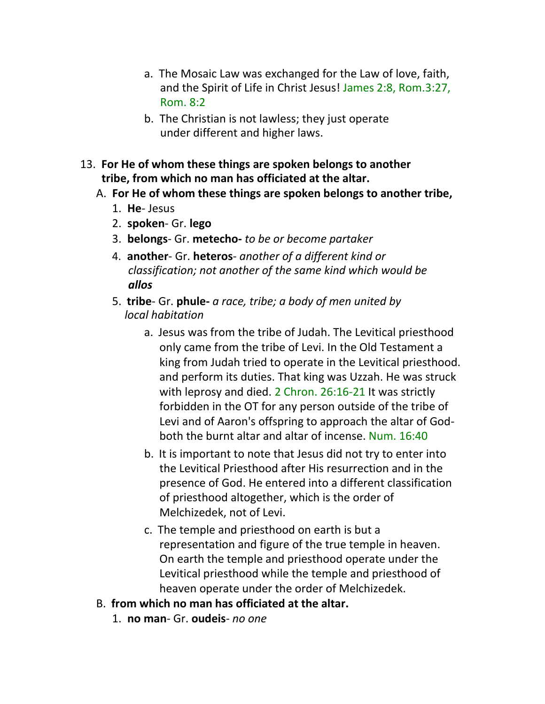- a. The Mosaic Law was exchanged for the Law of love, faith, and the Spirit of Life in Christ Jesus! James 2:8, Rom.3:27, Rom. 8:2
- b. The Christian is not lawless; they just operate under different and higher laws.
- 13. **For He of whom these things are spoken belongs to another tribe, from which no man has officiated at the altar.**
	- A. **For He of whom these things are spoken belongs to another tribe,**
		- 1. **He** Jesus
		- 2. **spoken** Gr. **lego**
		- 3. **belongs** Gr. **metecho-** *to be or become partaker*
		- 4. **another** Gr. **heteros** *another of a different kind or classification; not another of the same kind which would be allos*
		- 5. **tribe** Gr. **phule-** *a race, tribe; a body of men united by local habitation*
			- a. Jesus was from the tribe of Judah. The Levitical priesthood only came from the tribe of Levi. In the Old Testament a king from Judah tried to operate in the Levitical priesthood. and perform its duties. That king was Uzzah. He was struck with leprosy and died. 2 Chron. 26:16-21 It was strictly forbidden in the OT for any person outside of the tribe of Levi and of Aaron's offspring to approach the altar of Godboth the burnt altar and altar of incense. Num. 16:40
			- b. It is important to note that Jesus did not try to enter into the Levitical Priesthood after His resurrection and in the presence of God. He entered into a different classification of priesthood altogether, which is the order of Melchizedek, not of Levi.
			- c. The temple and priesthood on earth is but a representation and figure of the true temple in heaven. On earth the temple and priesthood operate under the Levitical priesthood while the temple and priesthood of heaven operate under the order of Melchizedek.
	- B. **from which no man has officiated at the altar.**
		- 1. **no man** Gr. **oudeis** *no one*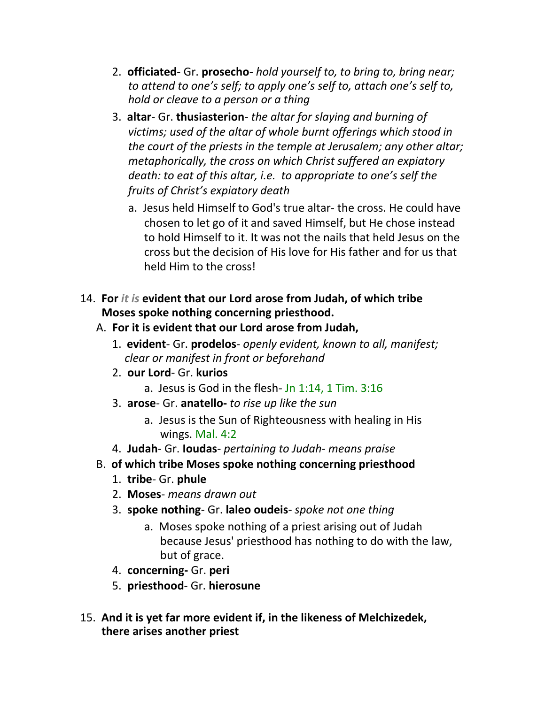- 2. **officiated** Gr. **prosecho** *hold yourself to, to bring to, bring near; to attend to one's self; to apply one's self to, attach one's self to, hold or cleave to a person or a thing*
- 3. **altar** Gr. **thusiasterion** *the altar for slaying and burning of victims; used of the altar of whole burnt offerings which stood in the court of the priests in the temple at Jerusalem; any other altar; metaphorically, the cross on which Christ suffered an expiatory death: to eat of this altar, i.e. to appropriate to one's self the fruits of Christ's expiatory death*
	- a. Jesus held Himself to God's true altar- the cross. He could have chosen to let go of it and saved Himself, but He chose instead to hold Himself to it. It was not the nails that held Jesus on the cross but the decision of His love for His father and for us that held Him to the cross!
- 14. **For** *it is* **evident that our Lord arose from Judah, of which tribe Moses spoke nothing concerning priesthood.**
	- A. **For it is evident that our Lord arose from Judah,**
		- 1. **evident** Gr. **prodelos** *openly evident, known to all, manifest; clear or manifest in front or beforehand*
		- 2. **our Lord** Gr. **kurios**
			- a. Jesus is God in the flesh- Jn 1:14, 1 Tim. 3:16
		- 3. **arose** Gr. **anatello-** *to rise up like the sun*
			- a. Jesus is the Sun of Righteousness with healing in His wings. Mal. 4:2
		- 4. **Judah** Gr. **Ioudas** *pertaining to Judah- means praise*
	- B. **of which tribe Moses spoke nothing concerning priesthood**
		- 1. **tribe** Gr. **phule**
		- 2. **Moses** *means drawn out*
		- 3. **spoke nothing** Gr. **laleo oudeis** *spoke not one thing*
			- a. Moses spoke nothing of a priest arising out of Judah because Jesus' priesthood has nothing to do with the law, but of grace.
		- 4. **concerning-** Gr. **peri**
		- 5. **priesthood** Gr. **hierosune**
- 15. **And it is yet far more evident if, in the likeness of Melchizedek, there arises another priest**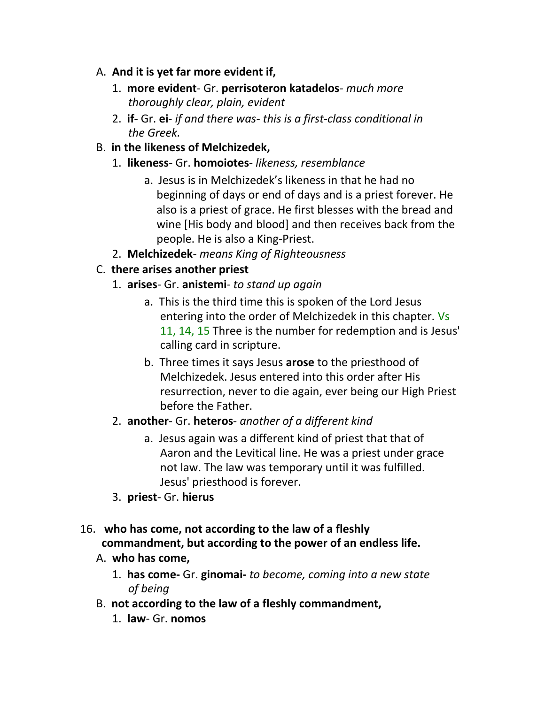## A. **And it is yet far more evident if,**

- 1. **more evident** Gr. **perrisoteron katadelos** *much more thoroughly clear, plain, evident*
- 2. **if-** Gr. **ei** *if and there was- this is a first-class conditional in the Greek.*
- B. **in the likeness of Melchizedek,**
	- 1. **likeness** Gr. **homoiotes** *likeness, resemblance*
		- a. Jesus is in Melchizedek's likeness in that he had no beginning of days or end of days and is a priest forever. He also is a priest of grace. He first blesses with the bread and wine [His body and blood] and then receives back from the people. He is also a King-Priest.
	- 2. **Melchizedek** *means King of Righteousness*

# C. **there arises another priest**

- 1. **arises** Gr. **anistemi** *to stand up again*
	- a. This is the third time this is spoken of the Lord Jesus entering into the order of Melchizedek in this chapter. Vs 11, 14, 15 Three is the number for redemption and is Jesus' calling card in scripture.
	- b. Three times it says Jesus **arose** to the priesthood of Melchizedek. Jesus entered into this order after His resurrection, never to die again, ever being our High Priest before the Father.

# 2. **another**- Gr. **heteros**- *another of a different kind*

- a. Jesus again was a different kind of priest that that of Aaron and the Levitical line. He was a priest under grace not law. The law was temporary until it was fulfilled. Jesus' priesthood is forever.
- 3. **priest** Gr. **hierus**
- 16. **who has come, not according to the law of a fleshly commandment, but according to the power of an endless life.**

# A. **who has come,**

- 1. **has come-** Gr. **ginomai-** *to become, coming into a new state of being*
- B. **not according to the law of a fleshly commandment,**
	- 1. **law** Gr. **nomos**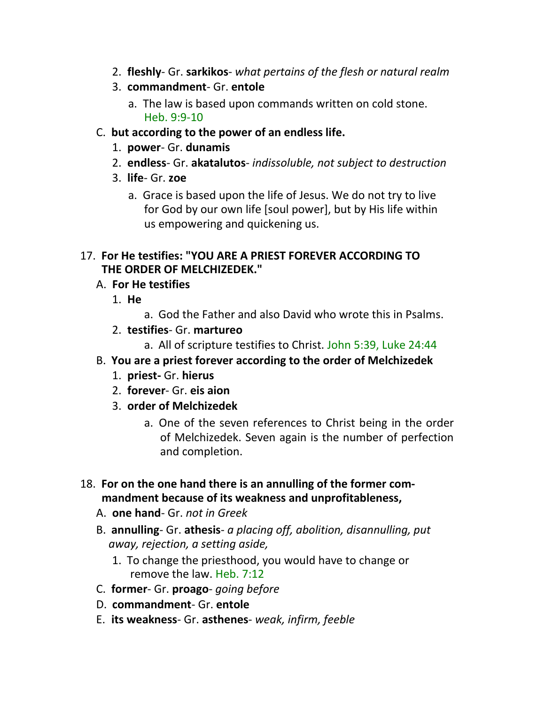- 2. **fleshly** Gr. **sarkikos** *what pertains of the flesh or natural realm*
- 3. **commandment** Gr. **entole**
	- a. The law is based upon commands written on cold stone. Heb. 9:9-10
- C. **but according to the power of an endless life.**
	- 1. **power** Gr. **dunamis**
	- 2. **endless** Gr. **akatalutos** *indissoluble, not subject to destruction*
	- 3. **life** Gr. **zoe**
		- a. Grace is based upon the life of Jesus. We do not try to live for God by our own life [soul power], but by His life within us empowering and quickening us.

### 17. **For He testifies: "YOU ARE A PRIEST FOREVER ACCORDING TO THE ORDER OF MELCHIZEDEK."**

- A. **For He testifies**
	- 1. **He**
		- a. God the Father and also David who wrote this in Psalms.
	- 2. **testifies** Gr. **martureo**
		- a. All of scripture testifies to Christ. John 5:39, Luke 24:44
- B. **You are a priest forever according to the order of Melchizedek**
	- 1. **priest-** Gr. **hierus**
	- 2. **forever** Gr. **eis aion**
	- 3. **order of Melchizedek**
		- a. One of the seven references to Christ being in the order of Melchizedek. Seven again is the number of perfection and completion.
- 18. **For on the one hand there is an annulling of the former com mandment because of its weakness and unprofitableness,**
	- A. **one hand** Gr. *not in Greek*
	- B. **annulling** Gr. **athesis** *a placing off, abolition, disannulling, put away, rejection, a setting aside,*
		- 1. To change the priesthood, you would have to change or remove the law. Heb. 7:12
	- C. **former** Gr. **proago** *going before*
	- D. **commandment** Gr. **entole**
	- E. **its weakness** Gr. **asthenes** *weak, infirm, feeble*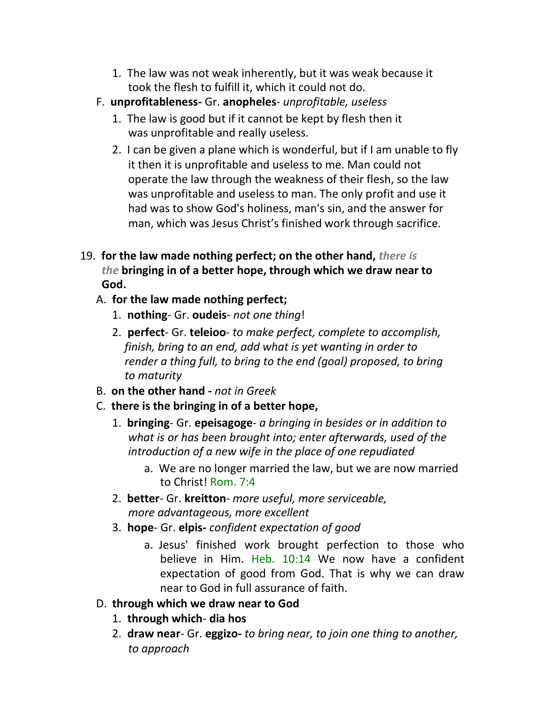- 1. The law was not weak inherently, but it was weak because it took the flesh to fulfill it, which it could not do.
- F. **unprofitableness-** Gr. **anopheles** *unprofitable, useless*
	- 1. The law is good but if it cannot be kept by flesh then it was unprofitable and really useless.
	- 2. I can be given a plane which is wonderful, but if I am unable to fly it then it is unprofitable and useless to me. Man could not operate the law through the weakness of their flesh, so the law was unprofitable and useless to man. The only profit and use it had was to show God's holiness, man's sin, and the answer for man, which was Jesus Christ's finished work through sacrifice.
- 19. **for the law made nothing perfect; on the other hand,** *there is the* **bringing in of a better hope, through which we draw near to God.**
	- A. **for the law made nothing perfect;**
		- 1. **nothing** Gr. **oudeis** *not one thing*!
		- 2. **perfect** Gr. **teleioo** *to make perfect, complete to accomplish, finish, bring to an end, add what is yet wanting in order to render a thing full, to bring to the end (goal) proposed, to bring to maturity*
	- B. **on the other hand -** *not in Greek*
	- C. **there is the bringing in of a better hope,**
		- 1. **bringing** Gr. **epeisagoge** *a bringing in besides or in addition to what is or has been brought into; enter afterwards, used of the introduction of a new wife in the place of one repudiated*
			- a. We are no longer married the law, but we are now married to Christ! Rom. 7:4
		- 2. **better** Gr. **kreitton** *more useful, more serviceable, more advantageous, more excellent*
		- 3. **hope** Gr. **elpis-** *confident expectation of good*
			- a. Jesus' finished work brought perfection to those who believe in Him. Heb. 10:14 We now have a confident expectation of good from God. That is why we can draw near to God in full assurance of faith.
	- D. **through which we draw near to God**
		- 1. **through which dia hos**
		- 2. **draw near** Gr. **eggizo-** *to bring near, to join one thing to another, to approach*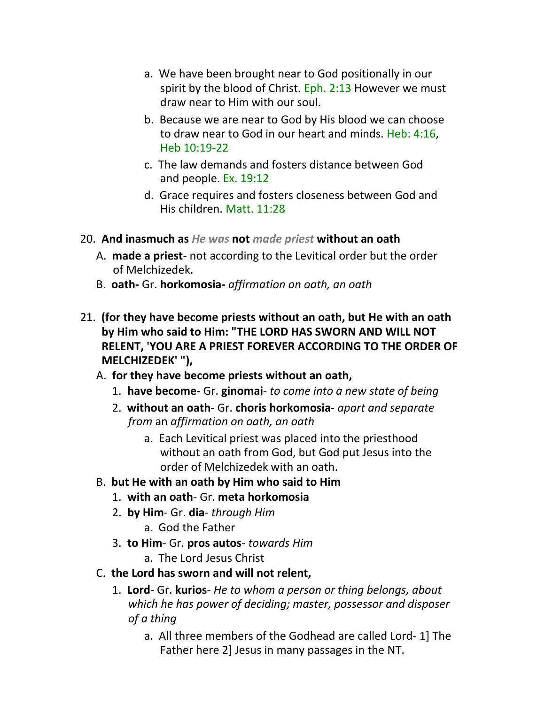- a. We have been brought near to God positionally in our spirit by the blood of Christ. Eph. 2:13 However we must draw near to Him with our soul.
- b. Because we are near to God by His blood we can choose to draw near to God in our heart and minds. Heb: 4:16, Heb 10:19-22
- c. The law demands and fosters distance between God and people. Ex. 19:12
- d. Grace requires and fosters closeness between God and His children. Matt. 11:28
- 20. **And inasmuch as** *He was* **not** *made priest* **without an oath**
	- A. **made a priest** not according to the Levitical order but the order of Melchizedek.
	- B. **oath-** Gr. **horkomosia-** *affirmation on oath, an oath*
- 21. **(for they have become priests without an oath, but He with an oath by Him who said to Him: "THE LORD HAS SWORN AND WILL NOT RELENT, 'YOU ARE A PRIEST FOREVER ACCORDING TO THE ORDER OF MELCHIZEDEK' "),**
	- A. **for they have become priests without an oath,**
		- 1. **have become-** Gr. **ginomai** *to come into a new state of being*
		- 2. **without an oath-** Gr. **choris horkomosia** *apart and separate from* an *affirmation on oath, an oath*
			- a. Each Levitical priest was placed into the priesthood without an oath from God, but God put Jesus into the order of Melchizedek with an oath.
	- B. **but He with an oath by Him who said to Him**
		- 1. **with an oath** Gr. **meta horkomosia**
		- 2. **by Him** Gr. **dia** *through Him*
			- a. God the Father
		- 3. **to Him** Gr. **pros autos** *towards Him*
			- a. The Lord Jesus Christ
	- C. **the Lord has sworn and will not relent,**
		- 1. **Lord** Gr. **kurios** *He to whom a person or thing belongs, about which he has power of deciding; master, possessor and disposer of a thing*
			- a. All three members of the Godhead are called Lord- 1] The Father here 2] Jesus in many passages in the NT.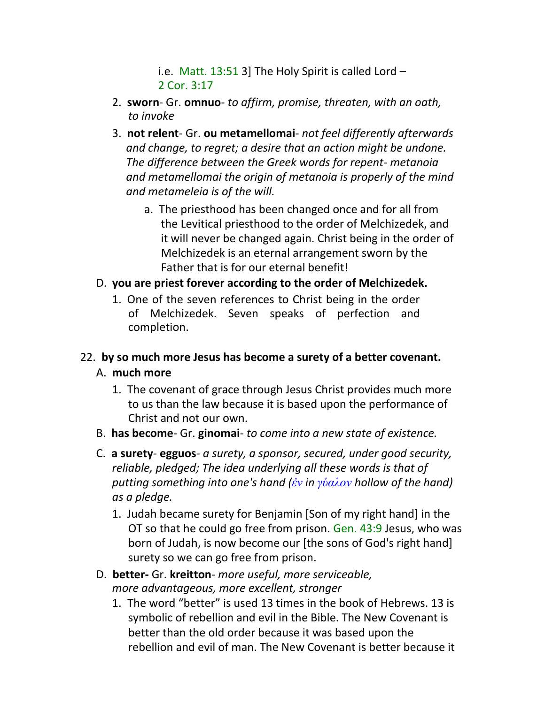i.e. Matt.  $13:513$ ] The Holy Spirit is called Lord -2 Cor. 3:17

- 2. **sworn** Gr. **omnuo** *to affirm, promise, threaten, with an oath, to invoke*
- 3. **not relent** Gr. **ou metamellomai** *not feel differently afterwards and change, to regret; a desire that an action might be undone. The difference between the Greek words for repent- metanoia and metamellomai the origin of metanoia is properly of the mind and metameleia is of the will.*
	- a. The priesthood has been changed once and for all from the Levitical priesthood to the order of Melchizedek, and it will never be changed again. Christ being in the order of Melchizedek is an eternal arrangement sworn by the Father that is for our eternal benefit!
- D. **you are priest forever according to the order of Melchizedek.**
	- 1. One of the seven references to Christ being in the order of Melchizedek. Seven speaks of perfection and completion.

# 22. **by so much more Jesus has become a surety of a better covenant.** A. **much more**

- 1. The covenant of grace through Jesus Christ provides much more to us than the law because it is based upon the performance of Christ and not our own.
- B. **has become** Gr. **ginomai** *to come into a new state of existence.*
- C. **a surety egguos** *a surety, a sponsor, secured, under good security, reliable, pledged; The idea underlying all these words is that of putting something into one's hand (ἐν in γύαλον hollow of the hand) as a pledge.*
	- 1. Judah became surety for Benjamin [Son of my right hand] in the OT so that he could go free from prison. Gen. 43:9 Jesus, who was born of Judah, is now become our [the sons of God's right hand] surety so we can go free from prison.
- D. **better-** Gr. **kreitton** *more useful, more serviceable, more advantageous, more excellent, stronger*
	- 1. The word "better" is used 13 times in the book of Hebrews. 13 is symbolic of rebellion and evil in the Bible. The New Covenant is better than the old order because it was based upon the rebellion and evil of man. The New Covenant is better because it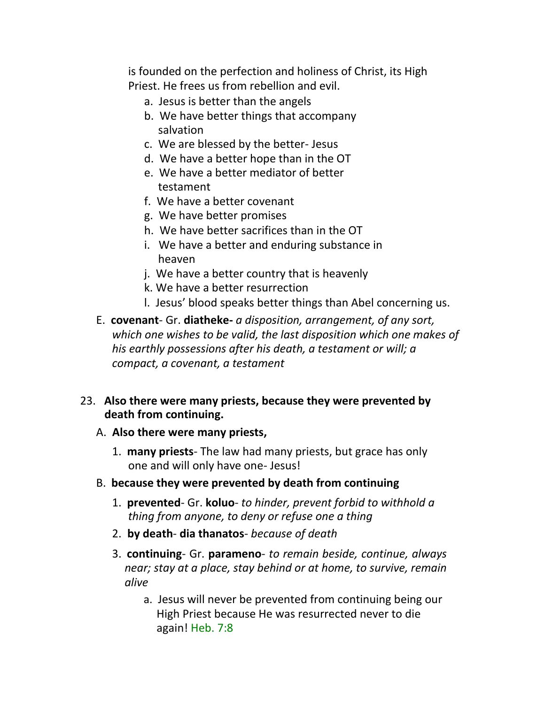is founded on the perfection and holiness of Christ, its High Priest. He frees us from rebellion and evil.

- a. Jesus is better than the angels
- b. We have better things that accompany salvation
- c. We are blessed by the better- Jesus
- d. We have a better hope than in the OT
- e. We have a better mediator of better testament
- f. We have a better covenant
- g. We have better promises
- h. We have better sacrifices than in the OT
- i. We have a better and enduring substance in heaven
- j. We have a better country that is heavenly
- k. We have a better resurrection
- l. Jesus' blood speaks better things than Abel concerning us.
- E. **covenant** Gr. **diatheke-** *a disposition, arrangement, of any sort, which one wishes to be valid, the last disposition which one makes of his earthly possessions after his death, a testament or will; a compact, a covenant, a testament*

### 23. **Also there were many priests, because they were prevented by death from continuing.**

### A. **Also there were many priests,**

- 1. **many priests** The law had many priests, but grace has only one and will only have one- Jesus!
- B. **because they were prevented by death from continuing**
	- 1. **prevented** Gr. **koluo** *to hinder, prevent forbid to withhold a thing from anyone, to deny or refuse one a thing*
	- 2. **by death dia thanatos** *because of death*
	- 3. **continuing** Gr. **parameno** *to remain beside, continue, always near; stay at a place, stay behind or at home, to survive, remain alive*
		- a. Jesus will never be prevented from continuing being our High Priest because He was resurrected never to die again! Heb. 7:8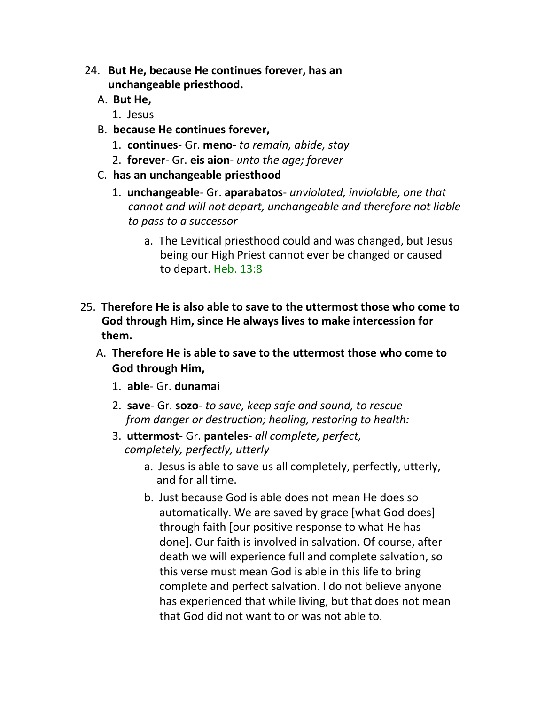- 24. **But He, because He continues forever, has an unchangeable priesthood.**
	- A. **But He,**
		- 1. Jesus
	- B. **because He continues forever,**
		- 1. **continues** Gr. **meno** *to remain, abide, stay*
		- 2. **forever** Gr. **eis aion** *unto the age; forever*
	- C. **has an unchangeable priesthood**
		- 1. **unchangeable** Gr. **aparabatos** *unviolated, inviolable, one that cannot and will not depart, unchangeable and therefore not liable to pass to a successor*
			- a. The Levitical priesthood could and was changed, but Jesus being our High Priest cannot ever be changed or caused to depart. Heb. 13:8
- 25. **Therefore He is also able to save to the uttermost those who come to God through Him, since He always lives to make intercession for them.**
	- A. **Therefore He is able to save to the uttermost those who come to God through Him,**
		- 1. **able** Gr. **dunamai**
		- 2. **save** Gr. **sozo** *to save, keep safe and sound, to rescue from danger or destruction; healing, restoring to health:*
		- 3. **uttermost** Gr. **panteles** *all complete, perfect, completely, perfectly, utterly*
			- a. Jesus is able to save us all completely, perfectly, utterly, and for all time.
			- b. Just because God is able does not mean He does so automatically. We are saved by grace [what God does] through faith [our positive response to what He has done]. Our faith is involved in salvation. Of course, after death we will experience full and complete salvation, so this verse must mean God is able in this life to bring complete and perfect salvation. I do not believe anyone has experienced that while living, but that does not mean that God did not want to or was not able to.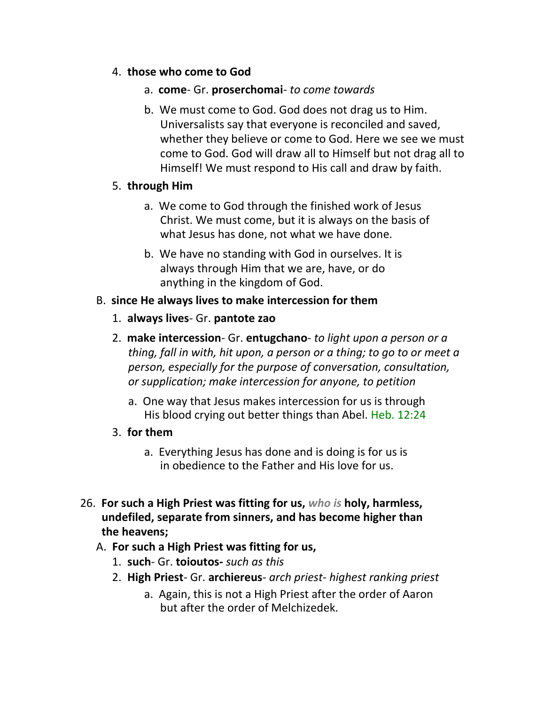#### 4. **those who come to God**

- a. **come** Gr. **proserchomai** *to come towards*
- b. We must come to God. God does not drag us to Him. Universalists say that everyone is reconciled and saved, whether they believe or come to God. Here we see we must come to God. God will draw all to Himself but not drag all to Himself! We must respond to His call and draw by faith.

### 5. **through Him**

- a. We come to God through the finished work of Jesus Christ. We must come, but it is always on the basis of what Jesus has done, not what we have done.
- b. We have no standing with God in ourselves. It is always through Him that we are, have, or do anything in the kingdom of God.

### B. **since He always lives to make intercession for them**

- 1. **always lives** Gr. **pantote zao**
- 2. **make intercession** Gr. **entugchano** *to light upon a person or a thing, fall in with, hit upon, a person or a thing; to go to or meet a person, especially for the purpose of conversation, consultation, or supplication; make intercession for anyone, to petition*
	- a. One way that Jesus makes intercession for us is through His blood crying out better things than Abel. Heb. 12:24
- 3. **for them**
	- a. Everything Jesus has done and is doing is for us is in obedience to the Father and His love for us.
- 26. **For such a High Priest was fitting for us,** *who is* **holy, harmless, undefiled, separate from sinners, and has become higher than the heavens;**
	- A. **For such a High Priest was fitting for us,**
		- 1. **such** Gr. **toioutos-** *such as this*
		- 2. **High Priest** Gr. **archiereus** *arch priest- highest ranking priest*
			- a. Again, this is not a High Priest after the order of Aaron but after the order of Melchizedek.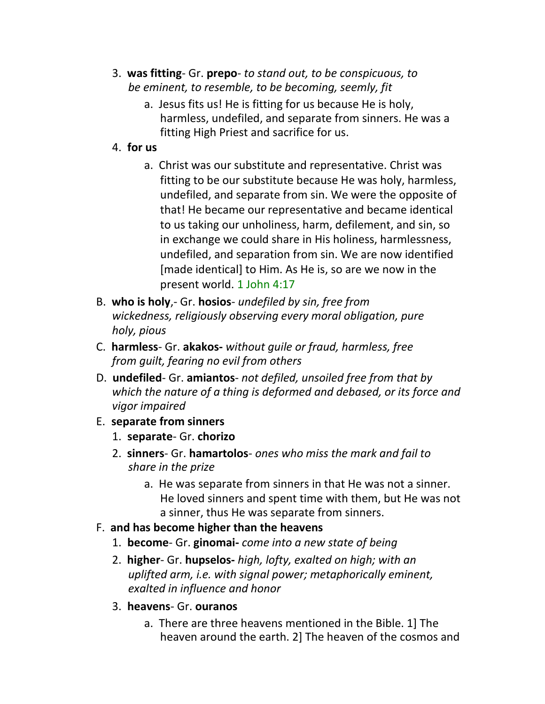- 3. **was fitting** Gr. **prepo** *to stand out, to be conspicuous, to be eminent, to resemble, to be becoming, seemly, fit*
	- a. Jesus fits us! He is fitting for us because He is holy, harmless, undefiled, and separate from sinners. He was a fitting High Priest and sacrifice for us.
- 4. **for us**
	- a. Christ was our substitute and representative. Christ was fitting to be our substitute because He was holy, harmless, undefiled, and separate from sin. We were the opposite of that! He became our representative and became identical to us taking our unholiness, harm, defilement, and sin, so in exchange we could share in His holiness, harmlessness, undefiled, and separation from sin. We are now identified [made identical] to Him. As He is, so are we now in the present world. 1 John 4:17
- B. **who is holy**,- Gr. **hosios** *undefiled by sin, free from wickedness, religiously observing every moral obligation, pure holy, pious*
- C. **harmless** Gr. **akakos-** *without guile or fraud, harmless, free from guilt, fearing no evil from others*
- D. **undefiled** Gr. **amiantos** *not defiled, unsoiled free from that by which the nature of a thing is deformed and debased, or its force and vigor impaired*
- E. **separate from sinners**
	- 1. **separate** Gr. **chorizo**
	- 2. **sinners** Gr. **hamartolos** *ones who miss the mark and fail to share in the prize*
		- a. He was separate from sinners in that He was not a sinner. He loved sinners and spent time with them, but He was not a sinner, thus He was separate from sinners.
- F. **and has become higher than the heavens**
	- 1. **become** Gr. **ginomai-** *come into a new state of being*
	- 2. **higher** Gr. **hupselos-** *high, lofty, exalted on high; with an uplifted arm, i.e. with signal power; metaphorically eminent, exalted in influence and honor*
	- 3. **heavens** Gr. **ouranos**
		- a. There are three heavens mentioned in the Bible. 1] The heaven around the earth. 2] The heaven of the cosmos and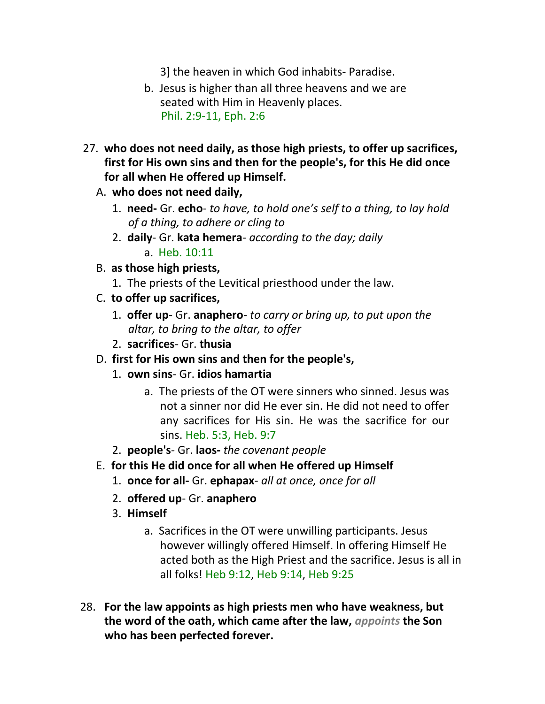3] the heaven in which God inhabits- Paradise.

- b. Jesus is higher than all three heavens and we are seated with Him in Heavenly places. Phil. 2:9-11, Eph. 2:6
- 27. **who does not need daily, as those high priests, to offer up sacrifices, first for His own sins and then for the people's, for this He did once for all when He offered up Himself.**
	- A. **who does not need daily,**
		- 1. **need-** Gr. **echo** *to have, to hold one's self to a thing, to lay hold of a thing, to adhere or cling to*
		- 2. **daily** Gr. **kata hemera** *according to the day; daily* a. Heb. 10:11
	- B. **as those high priests,**
		- 1. The priests of the Levitical priesthood under the law.
	- C. **to offer up sacrifices,**
		- 1. **offer up** Gr. **anaphero** *to carry or bring up, to put upon the altar, to bring to the altar, to offer*
		- 2. **sacrifices** Gr. **thusia**
	- D. **first for His own sins and then for the people's,**
		- 1. **own sins** Gr. **idios hamartia**
			- a. The priests of the OT were sinners who sinned. Jesus was not a sinner nor did He ever sin. He did not need to offer any sacrifices for His sin. He was the sacrifice for our sins. Heb. 5:3, Heb. 9:7
		- 2. **people's** Gr. **laos-** *the covenant people*
	- E. **for this He did once for all when He offered up Himself**
		- 1. **once for all-** Gr. **ephapax** *all at once, once for all*
		- 2. **offered up** Gr. **anaphero**
		- 3. **Himself**
			- a. Sacrifices in the OT were unwilling participants. Jesus however willingly offered Himself. In offering Himself He acted both as the High Priest and the sacrifice. Jesus is all in all folks! Heb 9:12, Heb 9:14, Heb 9:25
- 28. **For the law appoints as high priests men who have weakness, but the word of the oath, which came after the law,** *appoints* **the Son who has been perfected forever.**